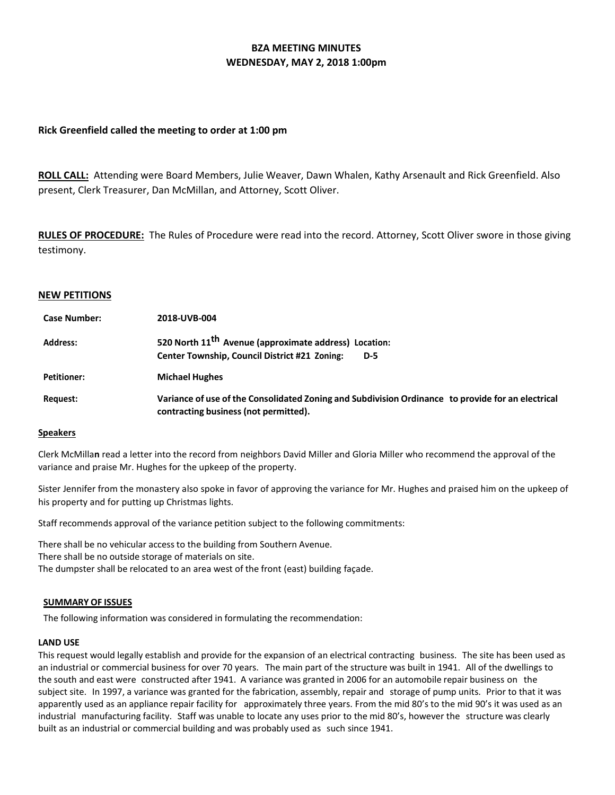# **BZA MEETING MINUTES WEDNESDAY, MAY 2, 2018 1:00pm**

## **Rick Greenfield called the meeting to order at 1:00 pm**

**ROLL CALL:** Attending were Board Members, Julie Weaver, Dawn Whalen, Kathy Arsenault and Rick Greenfield. Also present, Clerk Treasurer, Dan McMillan, and Attorney, Scott Oliver.

**RULES OF PROCEDURE:** The Rules of Procedure were read into the record. Attorney, Scott Oliver swore in those giving testimony.

## **NEW PETITIONS**

| <b>Case Number:</b> | 2018-UVB-004                                                                                                                               |
|---------------------|--------------------------------------------------------------------------------------------------------------------------------------------|
| <b>Address:</b>     | 520 North 11 <sup>th</sup> Avenue (approximate address) Location:<br><b>Center Township, Council District #21 Zoning:</b><br>D-5           |
| <b>Petitioner:</b>  | <b>Michael Hughes</b>                                                                                                                      |
| Request:            | Variance of use of the Consolidated Zoning and Subdivision Ordinance to provide for an electrical<br>contracting business (not permitted). |

## **Speakers**

Clerk McMilla**n** read a letter into the record from neighbors David Miller and Gloria Miller who recommend the approval of the variance and praise Mr. Hughes for the upkeep of the property.

Sister Jennifer from the monastery also spoke in favor of approving the variance for Mr. Hughes and praised him on the upkeep of his property and for putting up Christmas lights.

Staff recommends approval of the variance petition subject to the following commitments:

There shall be no vehicular access to the building from Southern Avenue. There shall be no outside storage of materials on site. The dumpster shall be relocated to an area west of the front (east) building façade.

## **SUMMARY OF ISSUES**

The following information was considered in formulating the recommendation:

## **LAND USE**

This request would legally establish and provide for the expansion of an electrical contracting business. The site has been used as an industrial or commercial business for over 70 years. The main part of the structure was built in 1941. All of the dwellings to the south and east were constructed after 1941. A variance was granted in 2006 for an automobile repair business on the subject site. In 1997, a variance was granted for the fabrication, assembly, repair and storage of pump units. Prior to that it was apparently used as an appliance repair facility for approximately three years. From the mid 80's to the mid 90's it was used as an industrial manufacturing facility. Staff was unable to locate any uses prior to the mid 80's, however the structure was clearly built as an industrial or commercial building and was probably used as such since 1941.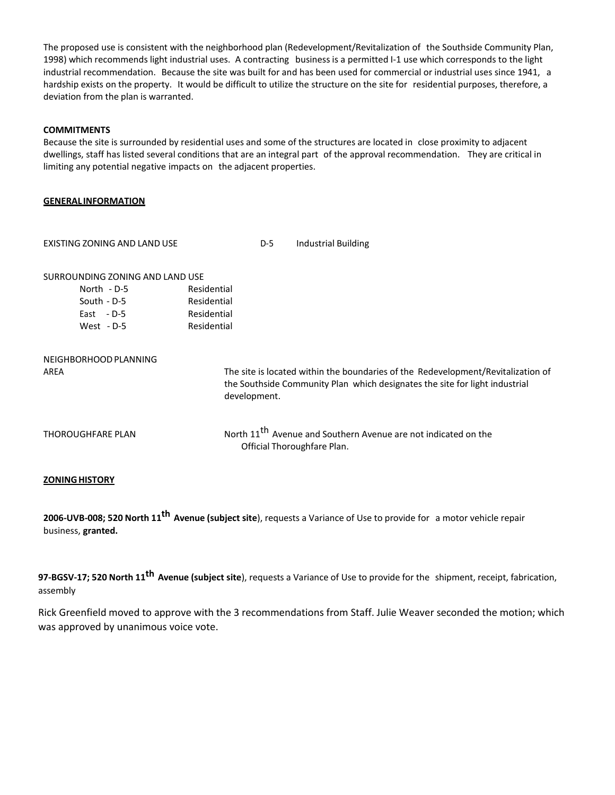The proposed use is consistent with the neighborhood plan (Redevelopment/Revitalization of the Southside Community Plan, 1998) which recommends light industrial uses. A contracting business is a permitted I-1 use which corresponds to the light industrial recommendation. Because the site was built for and has been used for commercial or industrial uses since 1941, a hardship exists on the property. It would be difficult to utilize the structure on the site for residential purposes, therefore, a deviation from the plan is warranted.

## **COMMITMENTS**

Because the site is surrounded by residential uses and some of the structures are located in close proximity to adjacent dwellings, staff has listed several conditions that are an integral part of the approval recommendation. They are critical in limiting any potential negative impacts on the adjacent properties.

## **GENERAL INFORMATION**

| EXISTING ZONING AND LAND USE    |             | $D-5$        | <b>Industrial Building</b>                                                                                                                                      |
|---------------------------------|-------------|--------------|-----------------------------------------------------------------------------------------------------------------------------------------------------------------|
| SURROUNDING ZONING AND LAND USE |             |              |                                                                                                                                                                 |
| North - D-5                     | Residential |              |                                                                                                                                                                 |
| South - D-5                     | Residential |              |                                                                                                                                                                 |
| East $-D-5$                     | Residential |              |                                                                                                                                                                 |
| West $-D-5$                     | Residential |              |                                                                                                                                                                 |
| NEIGHBORHOOD PLANNING<br>AREA   |             | development. | The site is located within the boundaries of the Redevelopment/Revitalization of<br>the Southside Community Plan which designates the site for light industrial |
| THOROUGHFARE PLAN               |             |              | North 11 <sup>th</sup> Avenue and Southern Avenue are not indicated on the<br>Official Thoroughfare Plan.                                                       |
|                                 |             |              |                                                                                                                                                                 |

## **ZONINGHISTORY**

**2006-UVB-008; 520 North 11th Avenue (subject site**), requests a Variance of Use to provide for a motor vehicle repair business, **granted.**

**97-BGSV-17; 520 North 11th Avenue (subject site**), requests a Variance of Use to provide for the shipment, receipt, fabrication, assembly

Rick Greenfield moved to approve with the 3 recommendations from Staff. Julie Weaver seconded the motion; which was approved by unanimous voice vote.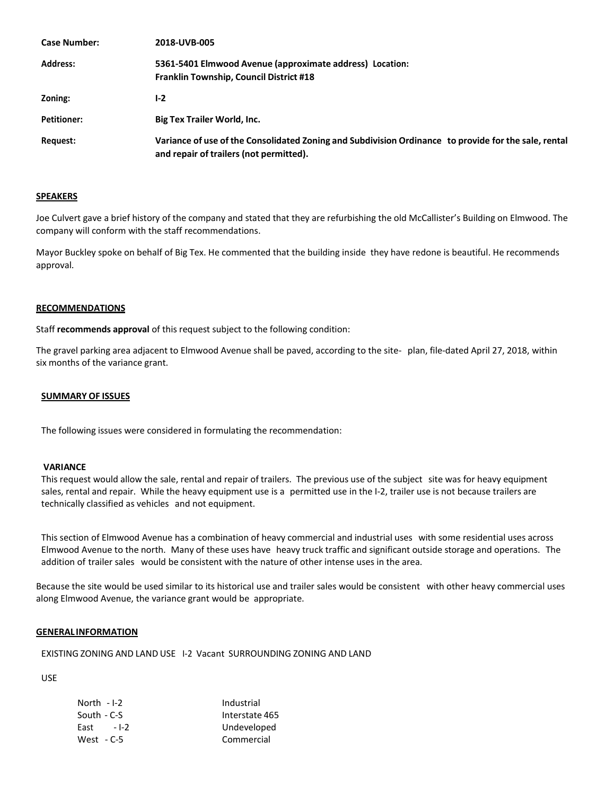| <b>Case Number:</b> | 2018-UVB-005                                                                                                                                    |
|---------------------|-------------------------------------------------------------------------------------------------------------------------------------------------|
| <b>Address:</b>     | 5361-5401 Elmwood Avenue (approximate address) Location:<br><b>Franklin Township, Council District #18</b>                                      |
| Zoning:             | $1-2$                                                                                                                                           |
| <b>Petitioner:</b>  | <b>Big Tex Trailer World, Inc.</b>                                                                                                              |
| Request:            | Variance of use of the Consolidated Zoning and Subdivision Ordinance to provide for the sale, rental<br>and repair of trailers (not permitted). |

#### **SPEAKERS**

Joe Culvert gave a brief history of the company and stated that they are refurbishing the old McCallister's Building on Elmwood. The company will conform with the staff recommendations.

Mayor Buckley spoke on behalf of Big Tex. He commented that the building inside they have redone is beautiful. He recommends approval.

## **RECOMMENDATIONS**

Staff **recommends approval** of this request subject to the following condition:

The gravel parking area adjacent to Elmwood Avenue shall be paved, according to the site- plan, file-dated April 27, 2018, within six months of the variance grant.

## **SUMMARY OF ISSUES**

The following issues were considered in formulating the recommendation:

#### **VARIANCE**

This request would allow the sale, rental and repair of trailers. The previous use of the subject site was for heavy equipment sales, rental and repair. While the heavy equipment use is a permitted use in the I-2, trailer use is not because trailers are technically classified as vehicles and not equipment.

This section of Elmwood Avenue has a combination of heavy commercial and industrial uses with some residential uses across Elmwood Avenue to the north. Many of these uses have heavy truck traffic and significant outside storage and operations. The addition of trailer sales would be consistent with the nature of other intense uses in the area.

Because the site would be used similar to its historical use and trailer sales would be consistent with other heavy commercial uses along Elmwood Avenue, the variance grant would be appropriate.

#### **GENERAL INFORMATION**

EXISTING ZONING AND LAND USE I-2 Vacant SURROUNDING ZONING AND LAND

USE

| North - I-2    | Industrial     |
|----------------|----------------|
| South - C-S    | Interstate 465 |
| East<br>$-1-2$ | Undeveloped    |
| West - C-5     | Commercial     |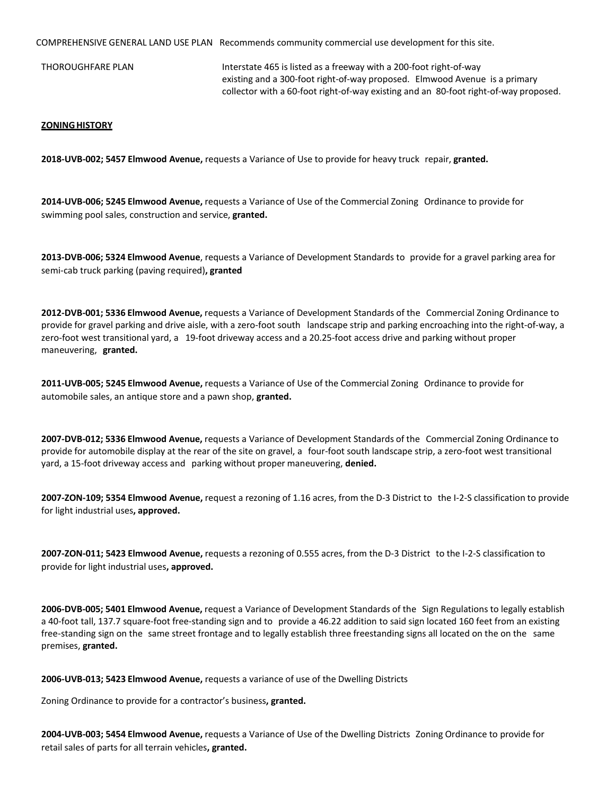COMPREHENSIVE GENERAL LAND USE PLAN Recommends community commercial use development for this site.

THOROUGHFARE PLAN **Interstate 465** is listed as a freeway with a 200-foot right-of-way existing and a 300-foot right-of-way proposed. Elmwood Avenue is a primary collector with a 60-foot right-of-way existing and an 80-foot right-of-way proposed.

### **ZONINGHISTORY**

**2018-UVB-002; 5457 Elmwood Avenue,** requests a Variance of Use to provide for heavy truck repair, **granted.**

**2014-UVB-006; 5245 Elmwood Avenue,** requests a Variance of Use of the Commercial Zoning Ordinance to provide for swimming pool sales, construction and service, **granted.**

**2013-DVB-006; 5324 Elmwood Avenue**, requests a Variance of Development Standards to provide for a gravel parking area for semi-cab truck parking (paving required)**, granted**

**2012-DVB-001; 5336 Elmwood Avenue,** requests a Variance of Development Standards of the Commercial Zoning Ordinance to provide for gravel parking and drive aisle, with a zero-foot south landscape strip and parking encroaching into the right-of-way, a zero-foot west transitional yard, a 19-foot driveway access and a 20.25-foot access drive and parking without proper maneuvering, **granted.**

**2011-UVB-005; 5245 Elmwood Avenue,** requests a Variance of Use of the Commercial Zoning Ordinance to provide for automobile sales, an antique store and a pawn shop, **granted.**

**2007-DVB-012; 5336 Elmwood Avenue,** requests a Variance of Development Standards of the Commercial Zoning Ordinance to provide for automobile display at the rear of the site on gravel, a four-foot south landscape strip, a zero-foot west transitional yard, a 15-foot driveway access and parking without proper maneuvering, **denied.**

**2007-ZON-109; 5354 Elmwood Avenue,** request a rezoning of 1.16 acres, from the D-3 District to the I-2-S classification to provide for light industrial uses**, approved.**

**2007-ZON-011; 5423 Elmwood Avenue,** requests a rezoning of 0.555 acres, from the D-3 District to the I-2-S classification to provide for light industrial uses**, approved.**

**2006-DVB-005; 5401 Elmwood Avenue,** request a Variance of Development Standards of the Sign Regulations to legally establish a 40-foot tall, 137.7 square-foot free-standing sign and to provide a 46.22 addition to said sign located 160 feet from an existing free-standing sign on the same street frontage and to legally establish three freestanding signs all located on the on the same premises, **granted.**

**2006-UVB-013; 5423 Elmwood Avenue,** requests a variance of use of the Dwelling Districts

Zoning Ordinance to provide for a contractor's business**, granted.**

**2004-UVB-003; 5454 Elmwood Avenue,** requests a Variance of Use of the Dwelling Districts Zoning Ordinance to provide for retail sales of parts for all terrain vehicles**, granted.**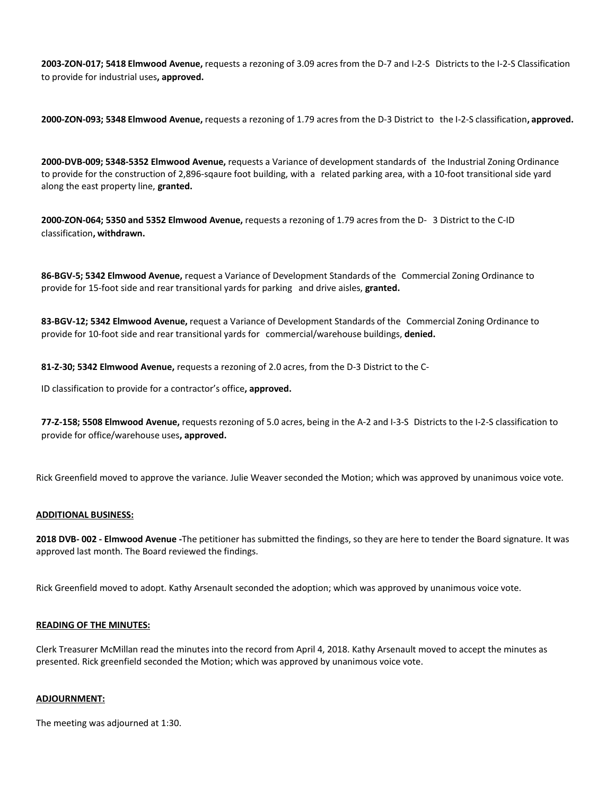**2003-ZON-017; 5418 Elmwood Avenue,** requests a rezoning of 3.09 acresfrom the D-7 and I-2-S Districts to the I-2-S Classification to provide for industrial uses**, approved.**

**2000-ZON-093; 5348 Elmwood Avenue,** requests a rezoning of 1.79 acresfrom the D-3 District to the I-2-S classification**, approved.**

**2000-DVB-009; 5348-5352 Elmwood Avenue,** requests a Variance of development standards of the Industrial Zoning Ordinance to provide for the construction of 2,896-sqaure foot building, with a related parking area, with a 10-foot transitional side yard along the east property line, **granted.**

**2000-ZON-064; 5350 and 5352 Elmwood Avenue,** requests a rezoning of 1.79 acresfrom the D- 3 District to the C-ID classification**, withdrawn.**

**86-BGV-5; 5342 Elmwood Avenue,** request a Variance of Development Standards of the Commercial Zoning Ordinance to provide for 15-foot side and rear transitional yards for parking and drive aisles, **granted.**

**83-BGV-12; 5342 Elmwood Avenue,** request a Variance of Development Standards of the Commercial Zoning Ordinance to provide for 10-foot side and rear transitional yards for commercial/warehouse buildings, **denied.**

**81-Z-30; 5342 Elmwood Avenue,** requests a rezoning of 2.0 acres, from the D-3 District to the C-

ID classification to provide for a contractor's office**, approved.**

**77-Z-158; 5508 Elmwood Avenue,** requests rezoning of 5.0 acres, being in the A-2 and I-3-S Districts to the I-2-S classification to provide for office/warehouse uses**, approved.**

Rick Greenfield moved to approve the variance. Julie Weaver seconded the Motion; which was approved by unanimous voice vote.

## **ADDITIONAL BUSINESS:**

**2018 DVB- 002 - Elmwood Avenue -**The petitioner has submitted the findings, so they are here to tender the Board signature. It was approved last month. The Board reviewed the findings.

Rick Greenfield moved to adopt. Kathy Arsenault seconded the adoption; which was approved by unanimous voice vote.

## **READING OF THE MINUTES:**

Clerk Treasurer McMillan read the minutes into the record from April 4, 2018. Kathy Arsenault moved to accept the minutes as presented. Rick greenfield seconded the Motion; which was approved by unanimous voice vote.

## **ADJOURNMENT:**

The meeting was adjourned at 1:30.